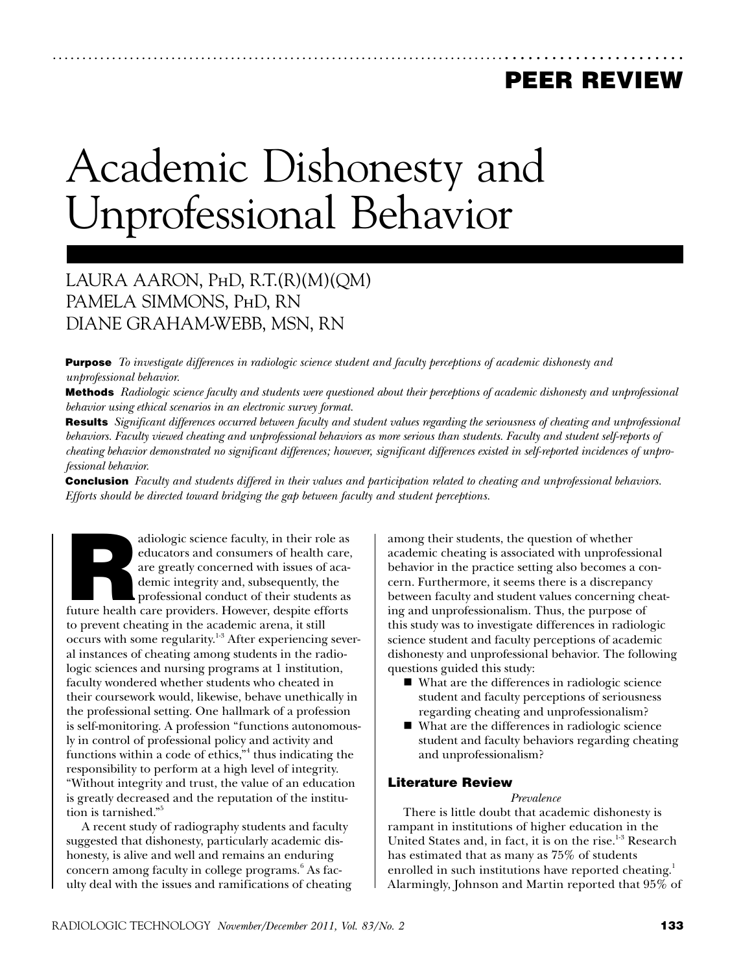# peer review

# Academic Dishonesty and Unprofessional Behavior

## Laura Aaron, PhD, R.T.(R)(M)(QM) Pamela Simmons, PhD, RN Diane Graham-Webb, MSN, RN

Purpose *To investigate differences in radiologic science student and faculty perceptions of academic dishonesty and unprofessional behavior.*

Methods *Radiologic science faculty and students were questioned about their perceptions of academic dishonesty and unprofessional behavior using ethical scenarios in an electronic survey format.*

...................................................................................................

Results *Significant differences occurred between faculty and student values regarding the seriousness of cheating and unprofessional behaviors. Faculty viewed cheating and unprofessional behaviors as more serious than students. Faculty and student self-reports of cheating behavior demonstrated no significant differences; however, significant differences existed in self-reported incidences of unprofessional behavior.* 

Conclusion *Faculty and students differed in their values and participation related to cheating and unprofessional behaviors. Efforts should be directed toward bridging the gap between faculty and student perceptions.*

adiologic science faculty, in their role as<br>
educators and consumers of health care,<br>
are greatly concerned with issues of aca-<br>
demic integrity and, subsequently, the<br>
professional conduct of their students as<br>
future hea educators and consumers of health care, are greatly concerned with issues of academic integrity and, subsequently, the professional conduct of their students as to prevent cheating in the academic arena, it still occurs with some regularity.<sup>1-3</sup> After experiencing several instances of cheating among students in the radiologic sciences and nursing programs at 1 institution, faculty wondered whether students who cheated in their coursework would, likewise, behave unethically in the professional setting. One hallmark of a profession is self-monitoring. A profession "functions autonomously in control of professional policy and activity and functions within a code of ethics, $n^4$  thus indicating the responsibility to perform at a high level of integrity. "Without integrity and trust, the value of an education is greatly decreased and the reputation of the institution is tarnished."5

A recent study of radiography students and faculty suggested that dishonesty, particularly academic dishonesty, is alive and well and remains an enduring concern among faculty in college programs.<sup>6</sup> As faculty deal with the issues and ramifications of cheating among their students, the question of whether academic cheating is associated with unprofessional behavior in the practice setting also becomes a concern. Furthermore, it seems there is a discrepancy between faculty and student values concerning cheating and unprofessionalism. Thus, the purpose of this study was to investigate differences in radiologic science student and faculty perceptions of academic dishonesty and unprofessional behavior. The following questions guided this study:

- What are the differences in radiologic science student and faculty perceptions of seriousness regarding cheating and unprofessionalism?
- What are the differences in radiologic science student and faculty behaviors regarding cheating and unprofessionalism?

#### Literature Review

*Prevalence*

There is little doubt that academic dishonesty is rampant in institutions of higher education in the United States and, in fact, it is on the rise. $1-3$  Research has estimated that as many as 75% of students enrolled in such institutions have reported cheating.<sup>1</sup> Alarmingly, Johnson and Martin reported that 95% of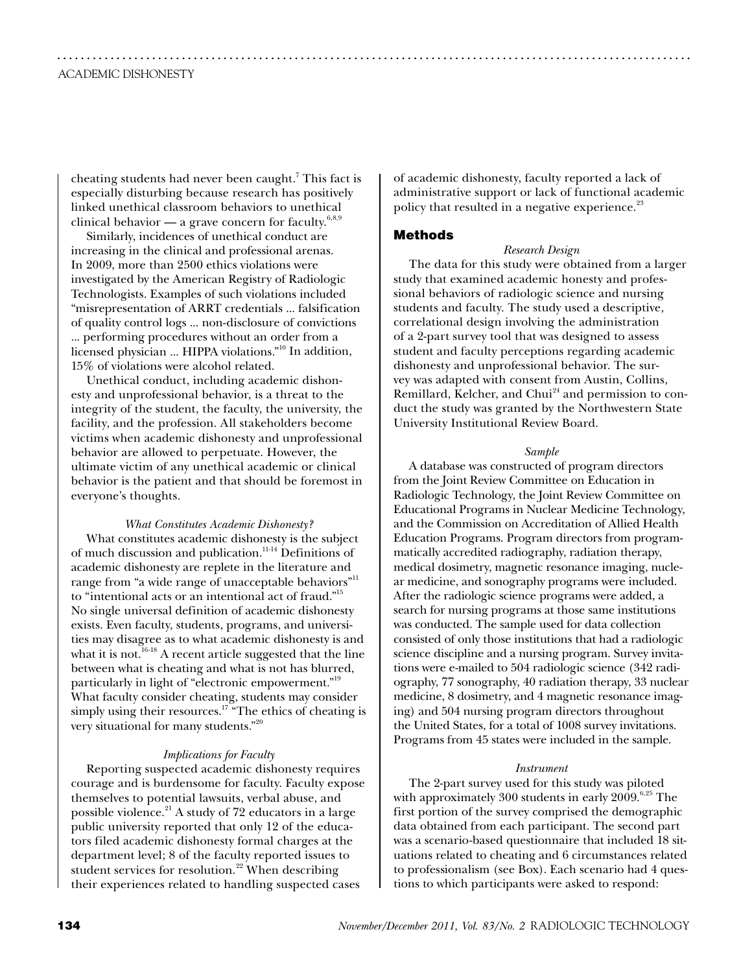cheating students had never been caught.<sup>7</sup> This fact is especially disturbing because research has positively linked unethical classroom behaviors to unethical clinical behavior — a grave concern for faculty.<sup>6,8,9</sup>

Similarly, incidences of unethical conduct are increasing in the clinical and professional arenas. In 2009, more than 2500 ethics violations were investigated by the American Registry of Radiologic Technologists. Examples of such violations included "misrepresentation of ARRT credentials ... falsification of quality control logs ... non-disclosure of convictions ... performing procedures without an order from a licensed physician ... HIPPA violations."10 In addition, 15% of violations were alcohol related.

Unethical conduct, including academic dishonesty and unprofessional behavior, is a threat to the integrity of the student, the faculty, the university, the facility, and the profession. All stakeholders become victims when academic dishonesty and unprofessional behavior are allowed to perpetuate. However, the ultimate victim of any unethical academic or clinical behavior is the patient and that should be foremost in everyone's thoughts.

*What Constitutes Academic Dishonesty?* What constitutes academic dishonesty is the subject of much discussion and publication.11-14 Definitions of academic dishonesty are replete in the literature and range from "a wide range of unacceptable behaviors"<sup>11</sup> to "intentional acts or an intentional act of fraud."15 No single universal definition of academic dishonesty exists. Even faculty, students, programs, and universities may disagree as to what academic dishonesty is and what it is not.<sup>16-18</sup> A recent article suggested that the line between what is cheating and what is not has blurred, particularly in light of "electronic empowerment."<sup>19</sup> What faculty consider cheating, students may consider simply using their resources.<sup>17</sup> "The ethics of cheating is very situational for many students."20

#### *Implications for Faculty*

Reporting suspected academic dishonesty requires courage and is burdensome for faculty. Faculty expose themselves to potential lawsuits, verbal abuse, and possible violence.21 A study of 72 educators in a large public university reported that only 12 of the educators filed academic dishonesty formal charges at the department level; 8 of the faculty reported issues to student services for resolution. $22$  When describing their experiences related to handling suspected cases

of academic dishonesty, faculty reported a lack of administrative support or lack of functional academic policy that resulted in a negative experience.<sup>23</sup>

#### **Methods**

...........................................................................................................

#### *Research Design*

The data for this study were obtained from a larger study that examined academic honesty and professional behaviors of radiologic science and nursing students and faculty. The study used a descriptive, correlational design involving the administration of a 2-part survey tool that was designed to assess student and faculty perceptions regarding academic dishonesty and unprofessional behavior. The survey was adapted with consent from Austin, Collins, Remillard, Kelcher, and Chui $^{24}$  and permission to conduct the study was granted by the Northwestern State University Institutional Review Board.

#### *Sample*

A database was constructed of program directors from the Joint Review Committee on Education in Radiologic Technology, the Joint Review Committee on Educational Programs in Nuclear Medicine Technology, and the Commission on Accreditation of Allied Health Education Programs. Program directors from programmatically accredited radiography, radiation therapy, medical dosimetry, magnetic resonance imaging, nuclear medicine, and sonography programs were included. After the radiologic science programs were added, a search for nursing programs at those same institutions was conducted. The sample used for data collection consisted of only those institutions that had a radiologic science discipline and a nursing program. Survey invitations were e-mailed to 504 radiologic science (342 radiography, 77 sonography, 40 radiation therapy, 33 nuclear medicine, 8 dosimetry, and 4 magnetic resonance imaging) and 504 nursing program directors throughout the United States, for a total of 1008 survey invitations. Programs from 45 states were included in the sample.

#### *Instrument*

The 2-part survey used for this study was piloted with approximately 300 students in early  $2009$ .<sup>6,25</sup> The first portion of the survey comprised the demographic data obtained from each participant. The second part was a scenario-based questionnaire that included 18 situations related to cheating and 6 circumstances related to professionalism (see Box). Each scenario had 4 questions to which participants were asked to respond: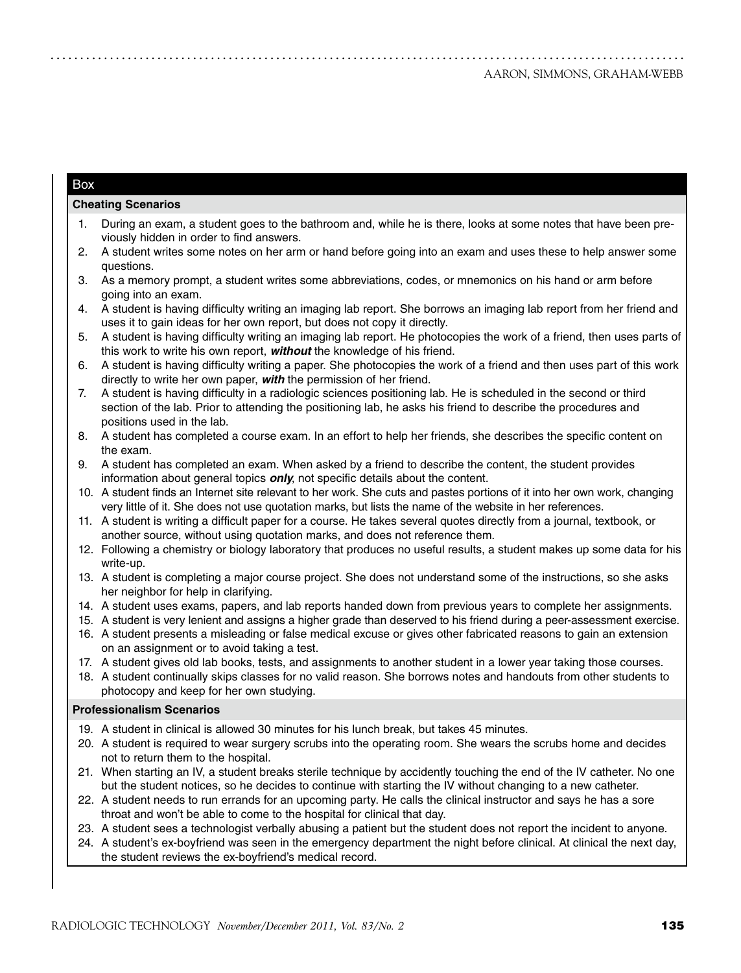#### Box

#### **Cheating Scenarios**

- During an exam, a student goes to the bathroom and, while he is there, looks at some notes that have been previously hidden in order to find answers.
- 2. A student writes some notes on her arm or hand before going into an exam and uses these to help answer some questions.
- 3. As a memory prompt, a student writes some abbreviations, codes, or mnemonics on his hand or arm before going into an exam.
- 4. A student is having difficulty writing an imaging lab report. She borrows an imaging lab report from her friend and uses it to gain ideas for her own report, but does not copy it directly.
- 5. A student is having difficulty writing an imaging lab report. He photocopies the work of a friend, then uses parts of this work to write his own report, *without* the knowledge of his friend.
- 6. A student is having difficulty writing a paper. She photocopies the work of a friend and then uses part of this work directly to write her own paper, *with* the permission of her friend.
- 7. A student is having difficulty in a radiologic sciences positioning lab. He is scheduled in the second or third section of the lab. Prior to attending the positioning lab, he asks his friend to describe the procedures and positions used in the lab.
- 8. A student has completed a course exam. In an effort to help her friends, she describes the specific content on the exam.
- 9. A student has completed an exam. When asked by a friend to describe the content, the student provides information about general topics *only*, not specific details about the content.
- 10. A student finds an Internet site relevant to her work. She cuts and pastes portions of it into her own work, changing very little of it. She does not use quotation marks, but lists the name of the website in her references.
- 11. A student is writing a difficult paper for a course. He takes several quotes directly from a journal, textbook, or another source, without using quotation marks, and does not reference them.
- 12. Following a chemistry or biology laboratory that produces no useful results, a student makes up some data for his write-up.
- 13. A student is completing a major course project. She does not understand some of the instructions, so she asks her neighbor for help in clarifying.
- 14. A student uses exams, papers, and lab reports handed down from previous years to complete her assignments.
- 15. A student is very lenient and assigns a higher grade than deserved to his friend during a peer-assessment exercise.
- 16. A student presents a misleading or false medical excuse or gives other fabricated reasons to gain an extension on an assignment or to avoid taking a test.
- 17. A student gives old lab books, tests, and assignments to another student in a lower year taking those courses.
- 18. A student continually skips classes for no valid reason. She borrows notes and handouts from other students to photocopy and keep for her own studying.

#### **Professionalism Scenarios**

- 19. A student in clinical is allowed 30 minutes for his lunch break, but takes 45 minutes.
- 20. A student is required to wear surgery scrubs into the operating room. She wears the scrubs home and decides not to return them to the hospital.
- 21. When starting an IV, a student breaks sterile technique by accidently touching the end of the IV catheter. No one but the student notices, so he decides to continue with starting the IV without changing to a new catheter.
- 22. A student needs to run errands for an upcoming party. He calls the clinical instructor and says he has a sore throat and won't be able to come to the hospital for clinical that day.
- 23. A student sees a technologist verbally abusing a patient but the student does not report the incident to anyone.
- 24. A student's ex-boyfriend was seen in the emergency department the night before clinical. At clinical the next day, the student reviews the ex-boyfriend's medical record.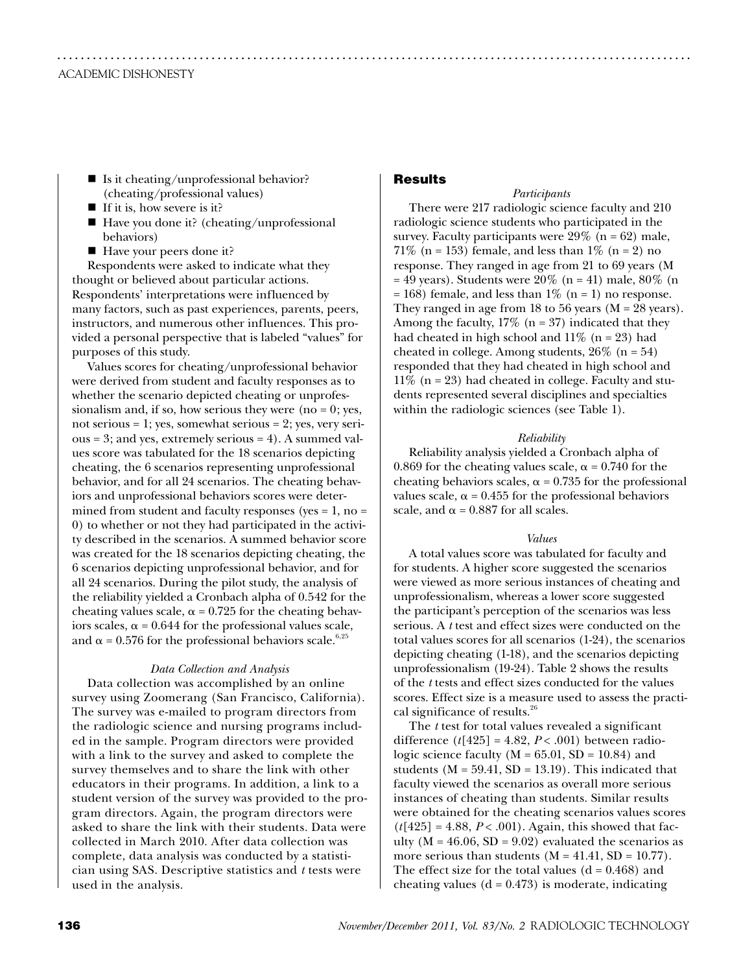- $\blacksquare$  Is it cheating/unprofessional behavior? (cheating/professional values)
- If it is, how severe is it?
- $\blacksquare$  Have you done it? (cheating/unprofessional behaviors)
- Have your peers done it?

Respondents were asked to indicate what they thought or believed about particular actions. Respondents' interpretations were influenced by many factors, such as past experiences, parents, peers, instructors, and numerous other influences. This provided a personal perspective that is labeled "values" for purposes of this study.

Values scores for cheating/unprofessional behavior were derived from student and faculty responses as to whether the scenario depicted cheating or unprofessionalism and, if so, how serious they were (no  $= 0$ ; yes, not serious  $= 1$ ; yes, somewhat serious  $= 2$ ; yes, very serious = 3; and yes, extremely serious = 4). A summed values score was tabulated for the 18 scenarios depicting cheating, the 6 scenarios representing unprofessional behavior, and for all 24 scenarios. The cheating behaviors and unprofessional behaviors scores were determined from student and faculty responses (yes  $= 1$ , no  $=$ 0) to whether or not they had participated in the activity described in the scenarios. A summed behavior score was created for the 18 scenarios depicting cheating, the 6 scenarios depicting unprofessional behavior, and for all 24 scenarios. During the pilot study, the analysis of the reliability yielded a Cronbach alpha of 0.542 for the cheating values scale,  $\alpha$  = 0.725 for the cheating behaviors scales,  $\alpha$  = 0.644 for the professional values scale, and  $\alpha$  = 0.576 for the professional behaviors scale.<sup>6,25</sup>

#### *Data Collection and Analysis*

Data collection was accomplished by an online survey using Zoomerang (San Francisco, California). The survey was e-mailed to program directors from the radiologic science and nursing programs included in the sample. Program directors were provided with a link to the survey and asked to complete the survey themselves and to share the link with other educators in their programs. In addition, a link to a student version of the survey was provided to the program directors. Again, the program directors were asked to share the link with their students. Data were collected in March 2010. After data collection was complete, data analysis was conducted by a statistician using SAS. Descriptive statistics and *t* tests were used in the analysis.

### Results

...........................................................................................................

#### *Participants*

There were 217 radiologic science faculty and 210 radiologic science students who participated in the survey. Faculty participants were  $29\%$  (n = 62) male, 71% (n = 153) female, and less than  $1\%$  (n = 2) no response. They ranged in age from 21 to 69 years (M  $= 49$  years). Students were 20% (n = 41) male, 80% (n  $= 168$ ) female, and less than 1\% (n = 1) no response. They ranged in age from 18 to 56 years ( $M = 28$  years). Among the faculty,  $17\%$  (n = 37) indicated that they had cheated in high school and  $11\%$  (n = 23) had cheated in college. Among students,  $26\%$  (n = 54) responded that they had cheated in high school and  $11\%$  (n = 23) had cheated in college. Faculty and students represented several disciplines and specialties within the radiologic sciences (see Table 1).

#### *Reliability*

Reliability analysis yielded a Cronbach alpha of 0.869 for the cheating values scale,  $\alpha$  = 0.740 for the cheating behaviors scales,  $\alpha$  = 0.735 for the professional values scale,  $\alpha$  = 0.455 for the professional behaviors scale, and  $\alpha$  = 0.887 for all scales.

#### *Values*

A total values score was tabulated for faculty and for students. A higher score suggested the scenarios were viewed as more serious instances of cheating and unprofessionalism, whereas a lower score suggested the participant's perception of the scenarios was less serious. A *t* test and effect sizes were conducted on the total values scores for all scenarios (1-24), the scenarios depicting cheating (1-18), and the scenarios depicting unprofessionalism (19-24). Table 2 shows the results of the *t* tests and effect sizes conducted for the values scores. Effect size is a measure used to assess the practical significance of results.<sup>26</sup>

The *t* test for total values revealed a significant difference  $(t[425] = 4.82, P < .001)$  between radiologic science faculty  $(M = 65.01, SD = 10.84)$  and students ( $M = 59.41$ ,  $SD = 13.19$ ). This indicated that faculty viewed the scenarios as overall more serious instances of cheating than students. Similar results were obtained for the cheating scenarios values scores  $(t[425] = 4.88, P < .001)$ . Again, this showed that faculty ( $M = 46.06$ ,  $SD = 9.02$ ) evaluated the scenarios as more serious than students  $(M = 41.41, SD = 10.77)$ . The effect size for the total values  $(d = 0.468)$  and cheating values  $(d = 0.473)$  is moderate, indicating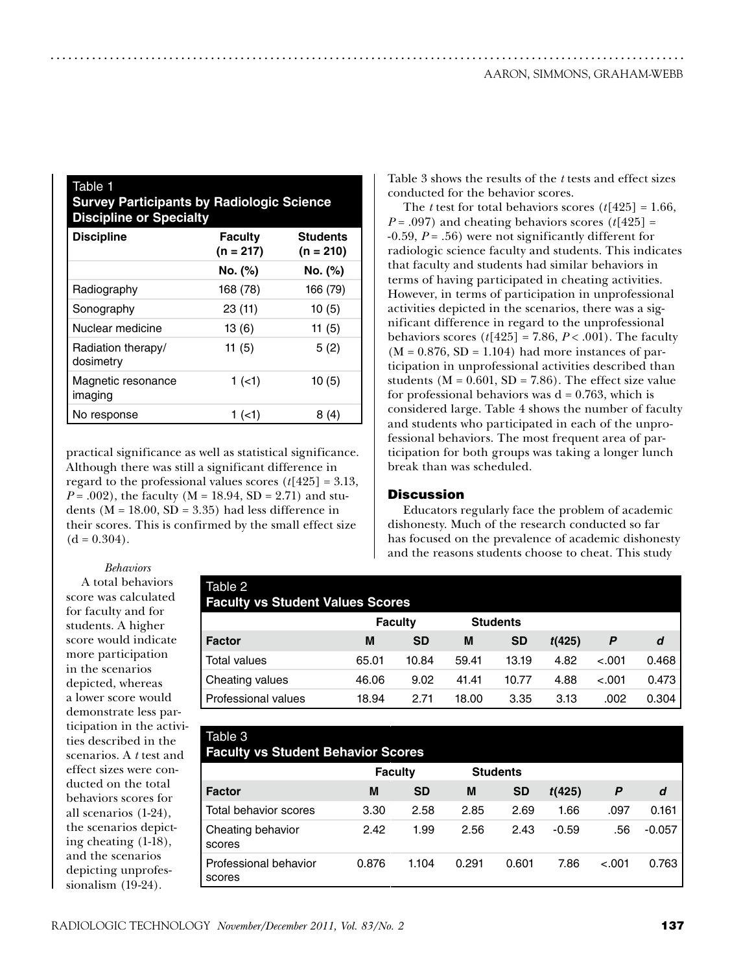| Table 1<br><b>Survey Participants by Radiologic Science</b><br><b>Discipline or Specialty</b> |                               |                                |  |  |  |
|-----------------------------------------------------------------------------------------------|-------------------------------|--------------------------------|--|--|--|
| <b>Discipline</b>                                                                             | <b>Faculty</b><br>$(n = 217)$ | <b>Students</b><br>$(n = 210)$ |  |  |  |
|                                                                                               | No. (%)                       | No. (%)                        |  |  |  |
| Radiography                                                                                   | 168 (78)                      | 166 (79)                       |  |  |  |
| Sonography                                                                                    | 23 (11)                       | 10(5)                          |  |  |  |
| Nuclear medicine                                                                              | 13(6)                         | 11 $(5)$                       |  |  |  |
| Radiation therapy/<br>dosimetry                                                               | 11 $(5)$                      | 5(2)                           |  |  |  |
| Magnetic resonance<br>imaging                                                                 | 1(1)                          | 10(5)                          |  |  |  |
| No response                                                                                   | 1 (<1)                        | 8 (4)                          |  |  |  |

practical significance as well as statistical significance. Although there was still a significant difference in regard to the professional values scores (*t*[425] = 3.13, *P* = .002), the faculty (M = 18.94, SD = 2.71) and students ( $M = 18.00$ ,  $SD = 3.35$ ) had less difference in their scores. This is confirmed by the small effect size  $(d = 0.304)$ .

Table 3 shows the results of the *t* tests and effect sizes conducted for the behavior scores.

The *t* test for total behaviors scores (*t*[425] = 1.66,  $P = .097$ ) and cheating behaviors scores ( $t[425] =$ -0.59, *P* = .56) were not significantly different for radiologic science faculty and students. This indicates that faculty and students had similar behaviors in terms of having participated in cheating activities. However, in terms of participation in unprofessional activities depicted in the scenarios, there was a significant difference in regard to the unprofessional behaviors scores  $(t[425] = 7.86, P < .001)$ . The faculty  $(M = 0.876, SD = 1.104)$  had more instances of participation in unprofessional activities described than students ( $M = 0.601$ ,  $SD = 7.86$ ). The effect size value for professional behaviors was  $d = 0.763$ , which is considered large. Table 4 shows the number of faculty and students who participated in each of the unprofessional behaviors. The most frequent area of participation for both groups was taking a longer lunch break than was scheduled.

#### **Discussion**

...........................................................................................................

Educators regularly face the problem of academic dishonesty. Much of the research conducted so far has focused on the prevalence of academic dishonesty and the reasons students choose to cheat. This study

*Behaviors*

A total behaviors score was calculated for faculty and for students. A higher score would indicate more participation in the scenarios depicted, whereas a lower score would demonstrate less participation in the activities described in the scenarios. A *t* test and effect sizes were conducted on the total behaviors scores for all scenarios (1-24), the scenarios depicting cheating (1-18), and the scenarios depicting unprofessionalism (19-24).

| Table 2<br><b>Faculty vs Student Values Scores</b> |       |                |       |                 |        |         |       |
|----------------------------------------------------|-------|----------------|-------|-----------------|--------|---------|-------|
|                                                    |       | <b>Faculty</b> |       | <b>Students</b> |        |         |       |
| <b>Factor</b>                                      | M     | SD             | M     | <b>SD</b>       | t(425) | P       | d     |
| <b>Total values</b>                                | 65.01 | 10.84          | 59.41 | 13.19           | 4.82   | $-.001$ | 0.468 |
| Cheating values                                    | 46.06 | 9.02           | 41.41 | 10.77           | 4.88   | $-.001$ | 0.473 |
| Professional values                                | 18.94 | 2.71           | 18.00 | 3.35            | 3.13   | .002    | 0.304 |

| Table 3                                   |                |           |       |                 |         |         |          |
|-------------------------------------------|----------------|-----------|-------|-----------------|---------|---------|----------|
| <b>Faculty vs Student Behavior Scores</b> |                |           |       |                 |         |         |          |
|                                           | <b>Faculty</b> |           |       | <b>Students</b> |         |         |          |
| <b>Factor</b>                             | M              | <b>SD</b> | M     | <b>SD</b>       | t(425)  | P       | d        |
| Total behavior scores                     | 3.30           | 2.58      | 2.85  | 2.69            | 1.66    | .097    | 0.161    |
| Cheating behavior<br>scores               | 2.42           | 1.99      | 2.56  | 2.43            | $-0.59$ | .56     | $-0.057$ |
| Professional behavior<br>scores           | 0.876          | 1.104     | 0.291 | 0.601           | 7.86    | $-.001$ | 0.763    |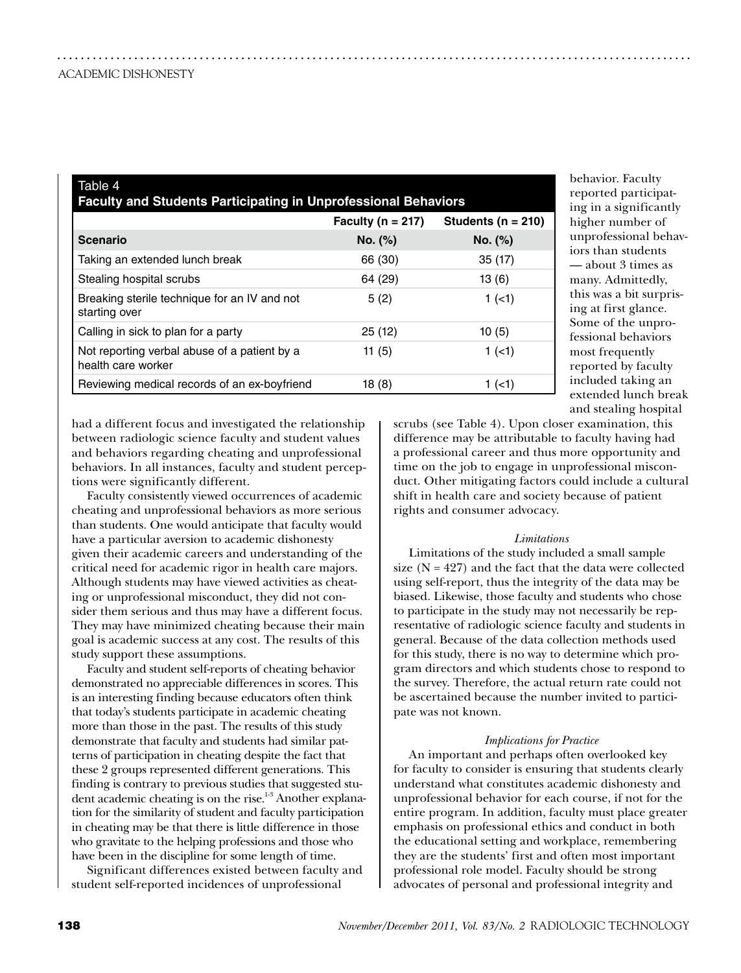| Table 4<br><b>Faculty and Students Participating in Unprofessional Behaviors</b> |                       |                        |  |  |  |  |
|----------------------------------------------------------------------------------|-----------------------|------------------------|--|--|--|--|
|                                                                                  | Faculty ( $n = 217$ ) | Students ( $n = 210$ ) |  |  |  |  |
| <b>Scenario</b>                                                                  | No. (%)               | No. (%)                |  |  |  |  |
| Taking an extended lunch break                                                   | 66 (30)               | 35(17)                 |  |  |  |  |
| Stealing hospital scrubs                                                         | 64 (29)               | 13(6)                  |  |  |  |  |
| Breaking sterile technique for an IV and not<br>starting over                    | 5(2)                  | 1(1)                   |  |  |  |  |
| Calling in sick to plan for a party                                              | 25(12)                | 10(5)                  |  |  |  |  |
| Not reporting verbal abuse of a patient by a<br>health care worker               | 11 $(5)$              | 1(1)                   |  |  |  |  |
| Reviewing medical records of an ex-boyfriend                                     | 18(8)                 | 1(1)                   |  |  |  |  |

...........................................................................................................

behavior. Faculty reported participating in a significantly higher number of unprofessional behaviors than students — about 3 times as many. Admittedly, this was a bit surprising at first glance. Some of the unprofessional behaviors most frequently reported by faculty included taking an extended lunch break and stealing hospital

had a different focus and investigated the relationship between radiologic science faculty and student values and behaviors regarding cheating and unprofessional behaviors. In all instances, faculty and student perceptions were significantly different.

Faculty consistently viewed occurrences of academic cheating and unprofessional behaviors as more serious than students. One would anticipate that faculty would have a particular aversion to academic dishonesty given their academic careers and understanding of the critical need for academic rigor in health care majors. Although students may have viewed activities as cheating or unprofessional misconduct, they did not consider them serious and thus may have a different focus. They may have minimized cheating because their main goal is academic success at any cost. The results of this study support these assumptions.

Faculty and student self-reports of cheating behavior demonstrated no appreciable differences in scores. This is an interesting finding because educators often think that today's students participate in academic cheating more than those in the past. The results of this study demonstrate that faculty and students had similar patterns of participation in cheating despite the fact that these 2 groups represented different generations. This finding is contrary to previous studies that suggested student academic cheating is on the rise. $1.3$  Another explanation for the similarity of student and faculty participation in cheating may be that there is little difference in those who gravitate to the helping professions and those who have been in the discipline for some length of time.

Significant differences existed between faculty and student self-reported incidences of unprofessional

scrubs (see Table 4). Upon closer examination, this difference may be attributable to faculty having had a professional career and thus more opportunity and time on the job to engage in unprofessional misconduct. Other mitigating factors could include a cultural shift in health care and society because of patient rights and consumer advocacy.

#### *Limitations*

Limitations of the study included a small sample size  $(N = 427)$  and the fact that the data were collected using self-report, thus the integrity of the data may be biased. Likewise, those faculty and students who chose to participate in the study may not necessarily be representative of radiologic science faculty and students in general. Because of the data collection methods used for this study, there is no way to determine which program directors and which students chose to respond to the survey. Therefore, the actual return rate could not be ascertained because the number invited to participate was not known.

#### *Implications for Practice*

An important and perhaps often overlooked key for faculty to consider is ensuring that students clearly understand what constitutes academic dishonesty and unprofessional behavior for each course, if not for the entire program. In addition, faculty must place greater emphasis on professional ethics and conduct in both the educational setting and workplace, remembering they are the students' first and often most important professional role model. Faculty should be strong advocates of personal and professional integrity and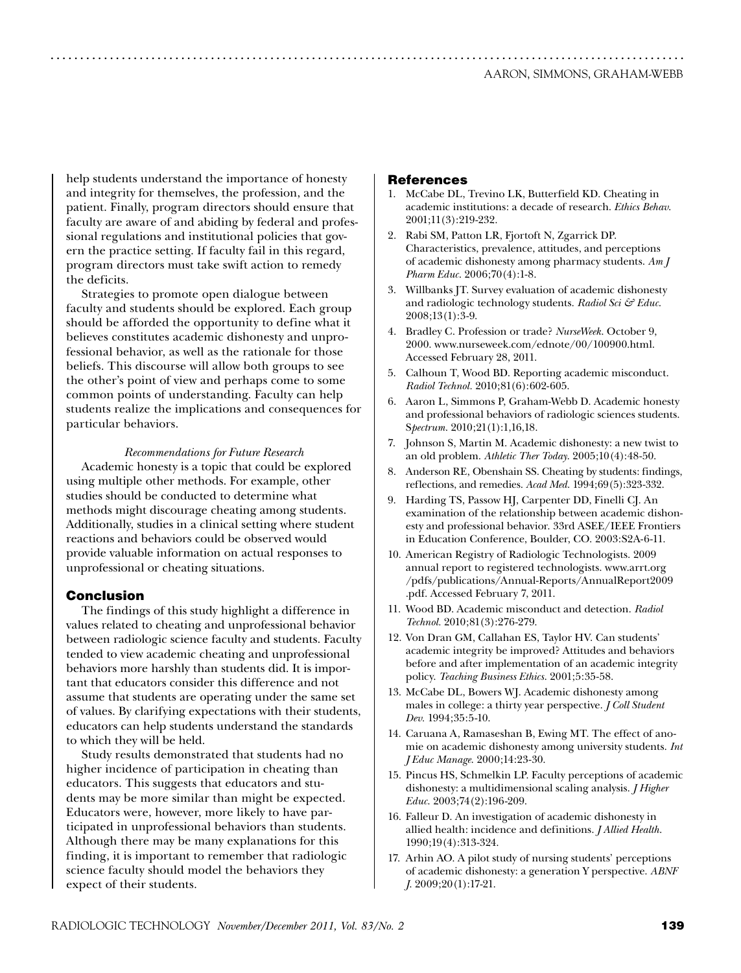help students understand the importance of honesty and integrity for themselves, the profession, and the patient. Finally, program directors should ensure that faculty are aware of and abiding by federal and professional regulations and institutional policies that govern the practice setting. If faculty fail in this regard, program directors must take swift action to remedy the deficits.

Strategies to promote open dialogue between faculty and students should be explored. Each group should be afforded the opportunity to define what it believes constitutes academic dishonesty and unprofessional behavior, as well as the rationale for those beliefs. This discourse will allow both groups to see the other's point of view and perhaps come to some common points of understanding. Faculty can help students realize the implications and consequences for particular behaviors.

#### *Recommendations for Future Research*

Academic honesty is a topic that could be explored using multiple other methods. For example, other studies should be conducted to determine what methods might discourage cheating among students. Additionally, studies in a clinical setting where student reactions and behaviors could be observed would provide valuable information on actual responses to unprofessional or cheating situations.

#### Conclusion

The findings of this study highlight a difference in values related to cheating and unprofessional behavior between radiologic science faculty and students. Faculty tended to view academic cheating and unprofessional behaviors more harshly than students did. It is important that educators consider this difference and not assume that students are operating under the same set of values. By clarifying expectations with their students, educators can help students understand the standards to which they will be held.

Study results demonstrated that students had no higher incidence of participation in cheating than educators. This suggests that educators and students may be more similar than might be expected. Educators were, however, more likely to have participated in unprofessional behaviors than students. Although there may be many explanations for this finding, it is important to remember that radiologic science faculty should model the behaviors they expect of their students.

#### References

...........................................................................................................

- 1. McCabe DL, Trevino LK, Butterfield KD. Cheating in academic institutions: a decade of research. *Ethics Behav*. 2001;11(3):219-232.
- 2. Rabi SM, Patton LR, Fjortoft N, Zgarrick DP. Characteristics, prevalence, attitudes, and perceptions of academic dishonesty among pharmacy students. *Am J Pharm Educ*. 2006;70(4):1-8.
- 3. Willbanks JT. Survey evaluation of academic dishonesty and radiologic technology students. *Radiol Sci & Educ*. 2008;13(1):3-9.
- 4. Bradley C. Profession or trade? *NurseWeek*. October 9, 2000. www.nurseweek.com/ednote/00/100900.html. Accessed February 28, 2011.
- 5. Calhoun T, Wood BD. Reporting academic misconduct. *Radiol Technol.* 2010;81(6):602-605.
- 6. Aaron L, Simmons P, Graham-Webb D. Academic honesty and professional behaviors of radiologic sciences students. S*pectrum*. 2010;21(1):1,16,18.
- 7. Johnson S, Martin M. Academic dishonesty: a new twist to an old problem. *Athletic Ther Today*. 2005;10(4):48-50.
- 8. Anderson RE, Obenshain SS. Cheating by students: findings, reflections, and remedies. *Acad Med*. 1994;69(5):323-332.
- 9. Harding TS, Passow HJ, Carpenter DD, Finelli CJ. An examination of the relationship between academic dishonesty and professional behavior. 33rd ASEE/IEEE Frontiers in Education Conference, Boulder, CO. 2003:S2A-6-11.
- 10. American Registry of Radiologic Technologists. 2009 annual report to registered technologists. www.arrt.org /pdfs/publications/Annual-Reports/AnnualReport2009 .pdf. Accessed February 7, 2011.
- 11. Wood BD. Academic misconduct and detection. *Radiol Technol.* 2010;81(3):276-279.
- 12. Von Dran GM, Callahan ES, Taylor HV. Can students' academic integrity be improved? Attitudes and behaviors before and after implementation of an academic integrity policy. *Teaching Business Ethics*. 2001;5:35-58.
- 13. McCabe DL, Bowers WJ. Academic dishonesty among males in college: a thirty year perspective. *J Coll Student Dev.* 1994;35:5-10.
- 14. Caruana A, Ramaseshan B, Ewing MT. The effect of anomie on academic dishonesty among university students. *Int J Educ Manage*. 2000;14:23-30.
- 15. Pincus HS, Schmelkin LP. Faculty perceptions of academic dishonesty: a multidimensional scaling analysis. *J Higher Educ*. 2003;74(2):196-209.
- 16. Falleur D. An investigation of academic dishonesty in allied health: incidence and definitions. *J Allied Health*. 1990;19(4):313-324.
- 17. Arhin AO. A pilot study of nursing students' perceptions of academic dishonesty: a generation Y perspective. *ABNF J*. 2009;20(1):17-21.